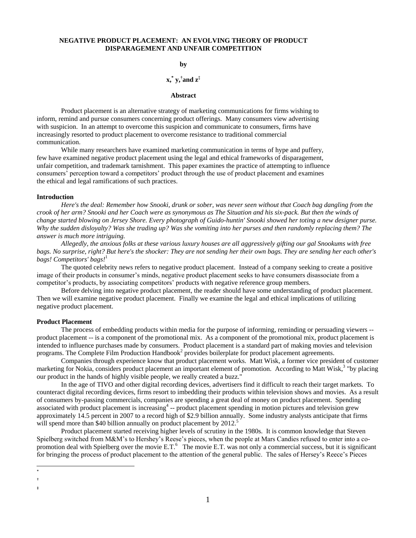# **NEGATIVE PRODUCT PLACEMENT: AN EVOLVING THEORY OF PRODUCT DISPARAGEMENT AND UNFAIR COMPETITION**

## **by**

# **x,\* y,† and z‡**

### **Abstract**

Product placement is an alternative strategy of marketing communications for firms wishing to inform, remind and pursue consumers concerning product offerings. Many consumers view advertising with suspicion. In an attempt to overcome this suspicion and communicate to consumers, firms have increasingly resorted to product placement to overcome resistance to traditional commercial communication.

While many researchers have examined marketing communication in terms of hype and puffery, few have examined negative product placement using the legal and ethical frameworks of disparagement, unfair competition, and trademark tarnishment. This paper examines the practice of attempting to influence consumers' perception toward a competitors' product through the use of product placement and examines the ethical and legal ramifications of such practices.

#### **Introduction**

*Here's the deal: Remember how Snooki, drunk or sober, was never seen without that Coach bag dangling from the crook of her arm? Snooki and her Coach were as synonymous as The Situation and his six-pack. But then the winds of change started blowing on Jersey Shore. Every photograph of Guido-huntin' Snooki showed her toting a new designer purse. Why the sudden disloyalty? Was she trading up? Was she vomiting into her purses and then randomly replacing them? The answer is much more intriguing.*

*Allegedly, the anxious folks at these various luxury houses are all aggressively gifting our gal Snookums with free bags. No surprise, right? But here's the shocker: They are not sending her their own bags. They are sending her each other's bags! Competitors' bags!* 

The quoted celebrity news refers to negative product placement. Instead of a company seeking to create a positive image of their products in consumer's minds, negative product placement seeks to have consumers disassociate from a competitor's products, by associating competitors' products with negative reference group members.

Before delving into negative product placement, the reader should have some understanding of product placement. Then we will examine negative product placement. Finally we examine the legal and ethical implications of utilizing negative product placement.

## **Product Placement**

The process of embedding products within media for the purpose of informing, reminding or persuading viewers - product placement -- is a component of the promotional mix. As a component of the promotional mix, product placement is intended to influence purchases made by consumers. Product placement is a standard part of making movies and television programs. The Complete Film Production Handbook<sup>2</sup> provides boilerplate for product placement agreements.

Companies through experience know that product placement works. Matt Wisk, a former vice president of customer marketing for Nokia, considers product placement an important element of promotion. According to Matt Wisk,<sup>3</sup> "by placing our product in the hands of highly visible people, we really created a buzz."

In the age of TIVO and other digital recording devices, advertisers find it difficult to reach their target markets. To counteract digital recording devices, firms resort to imbedding their products within television shows and movies. As a result of consumers by-passing commercials, companies are spending a great deal of money on product placement. Spending associated with product placement is increasing<sup>4</sup> -- product placement spending in motion pictures and television grew approximately 14.5 percent in 2007 to a record high of \$2.9 billion annually. Some industry analysts anticipate that firms will spend more than \$40 billion annually on product placement by 2012.<sup>5</sup>

Product placement started receiving higher levels of scrutiny in the 1980s. It is common knowledge that Steven Spielberg switched from M&M's to Hershey's Reese's pieces, when the people at Mars Candies refused to enter into a copromotion deal with Spielberg over the movie  $E.T.^6$  The movie  $E.T.$  was not only a commercial success, but it is significant for bringing the process of product placement to the attention of the general public. The sales of Hersey's Reece's Pieces

 $\overline{a}$ \*

<sup>†</sup> ‡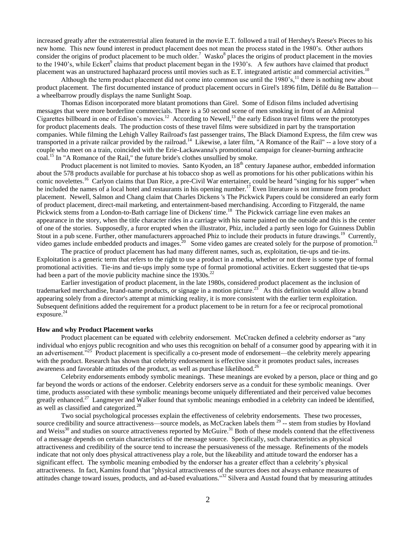increased greatly after the extraterrestrial alien featured in the movie E.T. followed a trail of Hershey's Reese's Pieces to his new home. This new found interest in product placement does not mean the process stated in the 1980's. Other authors consider the origins of product placement to be much older.<sup>7</sup> Wasko<sup>8</sup> places the origins of product placement in the movies to the 1940's, while Eckert<sup>9</sup> claims that product placement began in the 1930's. A few authors have claimed that product placement was an unstructured haphazard process until movies such as E.T. integrated artistic and commercial activities.<sup>10</sup>

Although the term product placement did not come into common use until the  $1980^{\circ}$ s,  $^{11}$  there is nothing new about product placement. The first documented instance of product placement occurs in Girel's 1896 film, Défilé du 8e Battalion a wheelbarrow proudly displays the name Sunlight Soap.

Thomas Edison incorporated more blatant promotions than Girel. Some of Edison films included advertising messages that were more borderline commercials. There is a 50 second scene of men smoking in front of an Admiral Cigarettes billboard in one of Edison's movies.<sup>12</sup> According to Newell,<sup>13</sup> the early Edison travel films were the prototypes for product placements deals. The production costs of these travel films were subsidized in part by the transportation companies. While filming the Lehigh Valley Railroad's fast passenger trains, The Black Diamond Express, the film crew was transported in a private railcar provided by the railroad.<sup>14</sup> Likewise, a later film, "A Romance of the Rail" -- a love story of a couple who meet on a train, coincided with the Erie-Lackawanna's promotional campaign for cleaner-burning anthracite coal.<sup>15</sup> In "A Romance of the Rail," the future bride's clothes unsullied by smoke.

Product placement is not limited to movies. Santo Kyoden, an  $18<sup>th</sup>$  century Japanese author, embedded information about the 578 products available for purchase at his tobacco shop as well as promotions for his other publications within his comic novelettes.<sup>16</sup> Carlyon claims that Dan Rice, a pre-Civil War entertainer, could be heard "singing for his supper" when he included the names of a local hotel and restaurants in his opening number.<sup>17</sup> Even literature is not immune from product placement. Newell, Salmon and Chang claim that Charles Dickens 's The Pickwick Papers could be considered an early form of product placement, direct-mail marketing, and entertainment-based merchandising. According to Fitzgerald, the name Pickwick stems from a London-to-Bath carriage line of Dickens' time.<sup>18</sup> The Pickwick carriage line even makes an appearance in the story, when the title character rides in a carriage with his name painted on the outside and this is the center of one of the stories. Supposedly, a furor erupted when the illustrator, Phiz, included a partly seen logo for Guinness Dublin Stout in a pub scene. Further, other manufacturers approached Phiz to include their products in future drawings.<sup>19</sup> Currently, video games include embedded products and images.<sup>20</sup> Some video games are created solely for the purpose of promotion.<sup>21</sup>

The practice of product placement has had many different names, such as, exploitation, tie-ups and tie-ins. Exploitation is a generic term that refers to the right to use a product in a media, whether or not there is some type of formal promotional activities. Tie-ins and tie-ups imply some type of formal promotional activities. Eckert suggested that tie-ups had been a part of the movie publicity machine since the  $1930s$ <sup>22</sup>

Earlier investigation of product placement, in the late 1980s, considered product placement as the inclusion of trademarked merchandise, brand-name products, or signage in a motion picture.<sup>23</sup> As this definition would allow a brand appearing solely from a director's attempt at mimicking reality, it is more consistent with the earlier term exploitation. Subsequent definitions added the requirement for a product placement to be in return for a fee or reciprocal promotional exposure.<sup>24</sup>

### **How and why Product Placement works**

Product placement can be equated with celebrity endorsement. McCracken defined a celebrity endorser as "any individual who enjoys public recognition and who uses this recognition on behalf of a consumer good by appearing with it in an advertisement.<sup>325</sup> Product placement is specifically a co-present mode of endorsement—the celebrity merely appearing with the product. Research has shown that celebrity endorsement is effective since it promotes product sales, increases awareness and favorable attitudes of the product, as well as purchase likelihood.<sup>26</sup>

Celebrity endorsements embody symbolic meanings. These meanings are evoked by a person, place or thing and go far beyond the words or actions of the endorser. Celebrity endorsers serve as a conduit for these symbolic meanings. Over time, products associated with these symbolic meanings become uniquely differentiated and their perceived value becomes greatly enhanced.<sup>27</sup> Langmeyer and Walker found that symbolic meanings embodied in a celebrity can indeed be identified, as well as classified and categorized.<sup>28</sup>

Two social psychological processes explain the effectiveness of celebrity endorsements. These two processes, source credibility and source attractiveness—source models, as McCracken labels them <sup>29</sup> -- stem from studies by Hovland and Weiss<sup>30</sup> and studies on source attractiveness reported by McGuire.<sup>31</sup> Both of these models contend that the effectiveness of a message depends on certain characteristics of the message source. Specifically, such characteristics as physical attractiveness and credibility of the source tend to increase the persuasiveness of the message. Refinements of the models indicate that not only does physical attractiveness play a role, but the likeability and attitude toward the endorser has a significant effect. The symbolic meaning embodied by the endorser has a greater effect than a celebrity's physical attractiveness. In fact, Kamins found that "physical attractiveness of the sources does not always enhance measures of attitudes change toward issues, products, and ad-based evaluations."<sup>32</sup> Silvera and Austad found that by measuring attitudes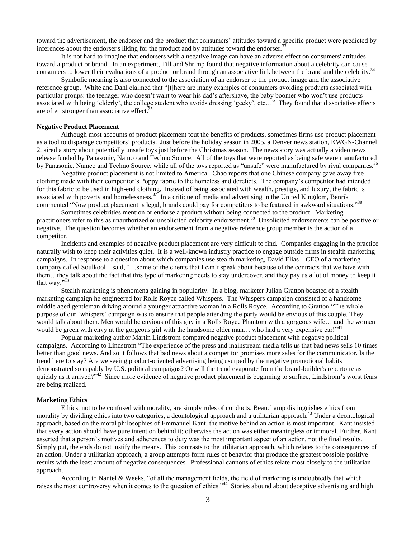toward the advertisement, the endorser and the product that consumers' attitudes toward a specific product were predicted by inferences about the endorser's liking for the product and by attitudes toward the endorser.<sup>33</sup>

It is not hard to imagine that endorsers with a negative image can have an adverse effect on consumers' attitudes toward a product or brand. In an experiment, Till and Shrimp found that negative information about a celebrity can cause consumers to lower their evaluations of a product or brand through an associative link between the brand and the celebrity.<sup>34</sup>

Symbolic meaning is also connected to the association of an endorser to the product image and the associative reference group. White and Dahl claimed that "[t]here are many examples of consumers avoiding products associated with particular groups: the teenager who doesn't want to wear his dad's aftershave, the baby boomer who won't use products associated with being 'elderly', the college student who avoids dressing 'geeky', etc..." They found that dissociative effects are often stronger than associative effect.<sup>35</sup>

## **Negative Product Placement**

Although most accounts of product placement tout the benefits of products, sometimes firms use product placement as a tool to disparage competitors' products. Just before the holiday season in 2005, a Denver news station, KWGN-Channel 2, aired a story about potentially unsafe toys just before the Christmas season. The news story was actually a video news release funded by Panasonic, Namco and Techno Source. All of the toys that were reported as being safe were manufactured by Panasonic, Namco and Techno Source; while all of the toys reported as "unsafe" were manufactured by rival companies.<sup>36</sup>

Negative product placement is not limited to America. Chao reports that one Chinese company gave away free clothing made with their competitor's Poppy fabric to the homeless and derelicts. The company's competitor had intended for this fabric to be used in high-end clothing. Instead of being associated with wealth, prestige, and luxury, the fabric is associated with poverty and homelessness. $37$  In a critique of media and advertising in the United Kingdom, Benrik commented "Now product placement is legal, brands could pay for competitors to be featured in awkward situations."<sup>38</sup>

Sometimes celebrities mention or endorse a product without being connected to the product. Marketing practitioners refer to this as unauthorized or unsolicited celebrity endorsement.<sup>39</sup> Unsolicited endorsements can be positive or negative. The question becomes whether an endorsement from a negative reference group member is the action of a competitor.

Incidents and examples of negative product placement are very difficult to find. Companies engaging in the practice naturally wish to keep their activities quiet. It is a well-known industry practice to engage outside firms in stealth marketing campaigns. In response to a question about which companies use stealth marketing, David Elias—CEO of a marketing company called Soulkool – said, ―…some of the clients that I can't speak about because of the contracts that we have with them…they talk about the fact that this type of marketing needs to stay undercover, and they pay us a lot of money to keep it that way." $40^{\frac{1}{40}}$ 

Stealth marketing is phenomena gaining in popularity. In a blog, marketer Julian Gratton boasted of a stealth marketing campaign he engineered for Rolls Royce called Whispers. The Whispers campaign consisted of a handsome middle aged gentleman driving around a younger attractive woman in a Rolls Royce. According to Gratton "The whole purpose of our 'whispers' campaign was to ensure that people attending the party would be envious of this couple. They would talk about them. Men would be envious of this guy in a Rolls Royce Phantom with a gorgeous wife... and the women would be green with envy at the gorgeous girl with the handsome older man... who had a very expensive car!"<sup>41</sup>

Popular marketing author Martin Lindstrom compared negative product placement with negative political campaigns. According to Lindstrom "The experience of the press and mainstream media tells us that bad news sells 10 times better than good news. And so it follows that bad news about a competitor promises more sales for the communicator. Is the trend here to stay? Are we seeing product-oriented advertising being usurped by the negative promotional habits demonstrated so capably by U.S. political campaigns? Or will the trend evaporate from the brand-builder's repertoire as quickly as it arrived?<sup> $42$ </sup> Since more evidence of negative product placement is beginning to surface, Lindstrom's worst fears are being realized.

#### **Marketing Ethics**

Ethics, not to be confused with morality, are simply rules of conducts. Beauchamp distinguishes ethics from morality by dividing ethics into two categories, a deontological approach and a utilitarian approach.<sup>43</sup> Under a deontological approach, based on the moral philosophies of Emmanuel Kant, the motive behind an action is most important. Kant insisted that every action should have pure intention behind it; otherwise the action was either meaningless or immoral. Further, Kant asserted that a person's motives and adherences to duty was the most important aspect of an action, not the final results. Simply put, the ends do not justify the means. This contrasts to the utilitarian approach, which relates to the consequences of an action. Under a utilitarian approach, a group attempts form rules of behavior that produce the greatest possible positive results with the least amount of negative consequences. Professional cannons of ethics relate most closely to the utilitarian approach.

According to Nantel & Weeks, "of all the management fields, the field of marketing is undoubtedly that which raises the most controversy when it comes to the question of ethics."<sup>44</sup> Stories abound about deceptive advertising and high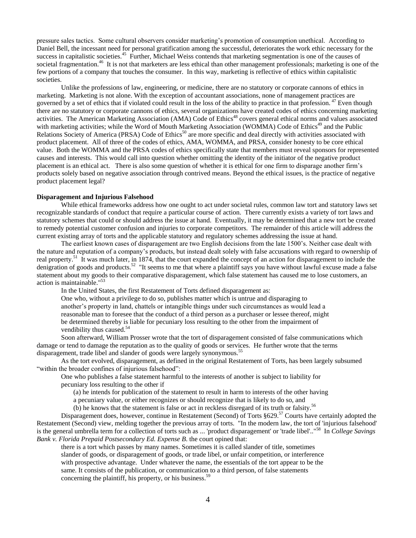pressure sales tactics. Some cultural observers consider marketing's promotion of consumption unethical. According to Daniel Bell, the incessant need for personal gratification among the successful, deteriorates the work ethic necessary for the success in capitalistic societies.<sup>45</sup> Further, Michael Weiss contends that marketing segmentation is one of the causes of societal fragmentation.<sup>46</sup> It is not that marketers are less ethical than other management professionals; marketing is one of the few portions of a company that touches the consumer. In this way, marketing is reflective of ethics within capitalistic societies.

Unlike the professions of law, engineering, or medicine, there are no statutory or corporate cannons of ethics in marketing. Marketing is not alone. With the exception of accountant associations, none of management practices are governed by a set of ethics that if violated could result in the loss of the ability to practice in that profession.<sup>47</sup> Even though there are no statutory or corporate cannons of ethics, several organizations have created codes of ethics concerning marketing activities. The American Marketing Association (AMA) Code of Ethics<sup>48</sup> covers general ethical norms and values associated with marketing activities; while the Word of Mouth Marketing Association (WOMMA) Code of Ethics<sup>49</sup> and the Public Relations Society of America (PRSA) Code of Ethics<sup>50</sup> are more specific and deal directly with activities associated with product placement. All of three of the codes of ethics, AMA, WOMMA, and PRSA, consider honesty to be core ethical value. Both the WOMMA and the PRSA codes of ethics specifically state that members must reveal sponsors for represented causes and interests. This would call into question whether omitting the identity of the initiator of the negative product placement is an ethical act. There is also some question of whether it is ethical for one firm to disparage another firm's products solely based on negative association through contrived means. Beyond the ethical issues, is the practice of negative product placement legal?

### **Disparagement and Injurious Falsehood**

While ethical frameworks address how one ought to act under societal rules, common law tort and statutory laws set recognizable standards of conduct that require a particular course of action. There currently exists a variety of tort laws and statutory schemes that could or should address the issue at hand. Eventually, it may be determined that a new tort be created to remedy potential customer confusion and injuries to corporate competitors. The remainder of this article will address the current existing array of torts and the applicable statutory and regulatory schemes addressing the issue at hand.

The earliest known cases of disparagement are two English decisions from the late 1500's. Neither case dealt with the nature and reputation of a company's products, but instead dealt solely with false accusations with regard to ownership of real property.<sup>51</sup> It was much later, in 1874, that the court expanded the concept of an action for disparagement to include the denigration of goods and products.<sup>52</sup> "It seems to me that where a plaintiff says you have without lawful excuse made a false statement about my goods to their comparative disparagement, which false statement has caused me to lose customers, an action is maintainable." 53

In the United States, the first Restatement of Torts defined disparagement as:

One who, without a privilege to do so, publishes matter which is untrue and disparaging to another's property in land, chattels or intangible things under such circumstances as would lead a reasonable man to foresee that the conduct of a third person as a purchaser or lessee thereof, might be determined thereby is liable for pecuniary loss resulting to the other from the impairment of vendibility thus caused.<sup>54</sup>

Soon afterward, William Prosser wrote that the tort of disparagement consisted of false communications which damage or tend to damage the reputation as to the quality of goods or services. He further wrote that the terms disparagement, trade libel and slander of goods were largely synonymous.<sup>55</sup>

As the tort evolved, disparagement, as defined in the original Restatement of Torts, has been largely subsumed "within the broader confines of injurious falsehood":

One who publishes a false statement harmful to the interests of another is subject to liability for pecuniary loss resulting to the other if

(a) he intends for publication of the statement to result in harm to interests of the other having

a pecuniary value, or either recognizes or should recognize that is likely to do so, and

(b) he knows that the statement is false or act in reckless disregard of its truth or falsity.<sup>56</sup>

Disparagement does, however, continue in Restatement (Second) of Torts §629.<sup>57</sup> Courts have certainly adopted the Restatement (Second) view, melding together the previous array of torts. "In the modern law, the tort of 'injurious falsehood' is the general umbrella term for a collection of torts such as ... 'product disparagement' or 'trade libel'.."<sup>58</sup> In *College Savings Bank v. Florida Prepaid Postsecondary Ed. Expense B*. the court opined that:

there is a tort which passes by many names. Sometimes it is called slander of title, sometimes slander of goods, or disparagement of goods, or trade libel, or unfair competition, or interference with prospective advantage. Under whatever the name, the essentials of the tort appear to be the same. It consists of the publication, or communication to a third person, of false statements concerning the plaintiff, his property, or his business.<sup>59</sup>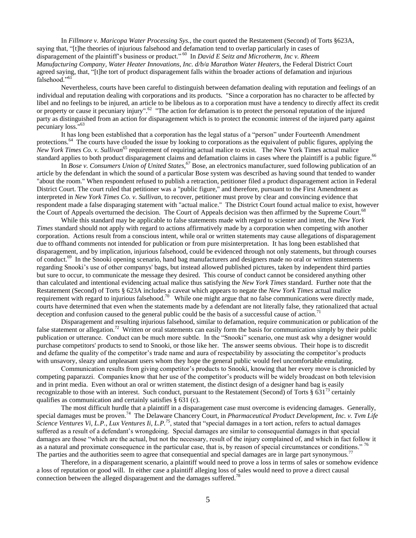In *Fillmore v. Maricopa Water Processing Sys.*, the court quoted the Restatement (Second) of Torts §623A, saying that, "[t]he theories of injurious falsehood and defamation tend to overlap particularly in cases of disparagement of the plaintiff's business or product."<sup>60</sup> In *David E Seitz and Microtherm, Inc v. Rheem Manufacturing Company, Water Heater Innovations, Inc. d/b/a Marathon Water Heaters*, the Federal District Court agreed saying, that, "[t]he tort of product disparagement falls within the broader actions of defamation and injurious falsehood."<sup>6</sup>

Nevertheless, courts have been careful to distinguish between defamation dealing with reputation and feelings of an individual and reputation dealing with corporations and its products. "Since a corporation has no character to be affected by libel and no feelings to be injured, an article to be libelous as to a corporation must have a tendency to directly affect its credit or property or cause it pecuniary injury".<sup>62</sup> "The action for defamation is to protect the personal reputation of the injured party as distinguished from an action for disparagement which is to protect the economic interest of the injured party against pecuniary loss."<sup>63</sup>

It has long been established that a corporation has the legal status of a "person" under Fourteenth Amendment protections.<sup>64</sup> The courts have clouded the issue by looking to corporations as the equivalent of public figures, applying the *New York Times Co. v. Sullivan*<sup>65</sup> requirement of requiring actual malice to exist. The New York Times actual malice standard applies to both product disparagement claims and defamation claims in cases where the plaintiff is a public figure.<sup>66</sup>

In *Bose v. Consumers Union of United States*, <sup>67</sup> Bose, an electronics manufacturer, sued following publication of an article by the defendant in which the sound of a particular Bose system was described as having sound that tended to wander "about the room." When respondent refused to publish a retraction, petitioner filed a product disparagement action in Federal District Court. The court ruled that petitioner was a "public figure," and therefore, pursuant to the First Amendment as interpreted in *New York Times Co. v. Sullivan,* to recover, petitioner must prove by clear and convincing evidence that respondent made a false disparaging statement with "actual malice." The District Court found actual malice to exist, however the Court of Appeals overturned the decision. The Court of Appeals decision was then affirmed by the Supreme Court.<sup>68</sup>

While this standard may be applicable to false statements made with regard to scienter and intent, the *New York Times* standard should not apply with regard to actions affirmatively made by a corporation when competing with another corporation. Actions result from a conscious intent, while oral or written statements may cause allegations of disparagement due to offhand comments not intended for publication or from pure misinterpretation. It has long been established that disparagement, and by implication, injurious falsehood, could be evidenced through not only statements, but through courses of conduct.<sup>69</sup> In the Snooki opening scenario, hand bag manufacturers and designers made no oral or written statements regarding Snooki's use of other companys' bags, but instead allowed published pictures, taken by independent third parties but sure to occur, to communicate the message they desired. This course of conduct cannot be considered anything other than calculated and intentional evidencing actual malice thus satisfying the *New York Times* standard. Further note that the Restatement (Second) of Torts § 623A includes a caveat which appears to negate the *New York Times* actual malice requirement with regard to injurious falsehood.<sup>70</sup> While one might argue that no false communications were directly made, courts have determined that even when the statements made by a defendant are not literally false, they rationalized that actual deception and confusion caused to the general public could be the basis of a successful cause of action.<sup>71</sup>

Disparagement and resulting injurious falsehood, similar to defamation, require communication or publication of the false statement or allegation.<sup>72</sup> Written or oral statements can easily form the basis for communication simply by their public publication or utterance. Conduct can be much more subtle. In the "Snooki" scenario, one must ask why a designer would purchase competitors' products to send to Snooki, or those like her. The answer seems obvious. Their hope is to discredit and defame the quality of the competitor's trade name and aura of respectability by associating the competitor's products with unsavory, sleazy and unpleasant users whom they hope the general public would feel uncomfortable emulating.

Communication results from giving competitor's products to Snooki, knowing that her every move is chronicled by competing paparazzi. Companies know that her use of the competitor's products will be widely broadcast on both television and in print media. Even without an oral or written statement, the distinct design of a designer hand bag is easily recognizable to those with an interest. Such conduct, pursuant to the Restatement (Second) of Torts § 631<sup>73</sup> certainly qualifies as communication and certainly satisfies § 631 (c).

The most difficult hurdle that a plaintiff in a disparagement case must overcome is evidencing damages. Generally, special damages must be proven.<sup>74</sup> The Delaware Chancery Court, in *Pharmaceutical Product Development, Inc. v. Tvm Life Science Ventures Vi, L.P., Lux Ventures Ii, L.P.<sup>75</sup>, stated that "special damages in a tort action, refers to actual damages* suffered as a result of a defendant's wrongdoing. Special damages are similar to consequential damages in that special damages are those "which are the actual, but not the necessary, result of the injury complained of, and which in fact follow it as a natural and proximate consequence in the particular case, that is, by reason of special circumstances or conditions." <sup>76</sup> The parties and the authorities seem to agree that consequential and special damages are in large part synonymous.<sup>77</sup>

Therefore, in a disparagement scenario, a plaintiff would need to prove a loss in terms of sales or somehow evidence a loss of reputation or good will. In either case a plaintiff alleging loss of sales would need to prove a direct causal connection between the alleged disparagement and the damages suffered.<sup>78</sup>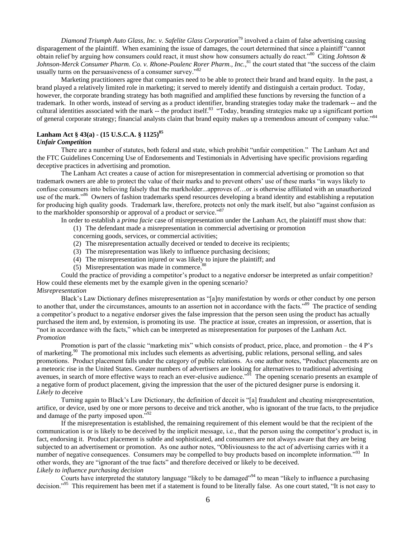*Diamond Triumph Auto Glass, Inc. v. Safelite Glass Corporation*<sup>79</sup> involved a claim of false advertising causing disparagement of the plaintiff. When examining the issue of damages, the court determined that since a plaintiff "cannot" obtain relief by arguing how consumers could react, it must show how consumers actually do react."<sup>80</sup> Citing *Johnson &* Johnson-Merck Consumer Pharm. Co. v. Rhone-Poulenc Rorer Pharm., Inc.,<sup>81</sup> the court stated that "the success of the claim usually turns on the persuasiveness of a consumer survey. $182$ 

Marketing practitioners agree that companies need to be able to protect their brand and brand equity. In the past, a brand played a relatively limited role in marketing; it served to merely identify and distinguish a certain product. Today, however, the corporate branding strategy has both magnified and amplified these functions by reversing the function of a trademark. In other words, instead of serving as a product identifier, branding strategies today make the trademark -- and the cultural identities associated with the mark -- the product itself.<sup>83</sup> "Today, branding strategies make up a significant portion of general corporate strategy; financial analysts claim that brand equity makes up a tremendous amount of company value."<sup>84</sup>

# **Lanham Act § 43(a) - (15 U.S.C.A. § 1125)<sup>85</sup>**

#### *Unfair Competition*

There are a number of statutes, both federal and state, which prohibit "unfair competition." The Lanham Act and the FTC Guidelines Concerning Use of Endorsements and Testimonials in Advertising have specific provisions regarding deceptive practices in advertising and promotion.

The Lanham Act creates a cause of action for misrepresentation in commercial advertising or promotion so that trademark owners are able to protect the value of their marks and to prevent others' use of these marks "in ways likely to confuse consumers into believing falsely that the markholder...approves of…or is otherwise affiliated with an unauthorized use of the mark."<sup>86</sup> Owners of fashion trademarks spend resources developing a brand identity and establishing a reputation for producing high quality goods. Trademark law, therefore, protects not only the mark itself, but also "against confusion as to the markholder sponsorship or approval of a product or service."<sup>87</sup>

In order to establish a *prima facie* case of misrepresentation under the Lanham Act, the plaintiff must show that:

(1) The defendant made a misrepresentation in commercial advertising or promotion

concerning goods, services, or commercial activities;

- (2) The misrepresentation actually deceived or tended to deceive its recipients;
- (3) The misrepresentation was likely to influence purchasing decisions;
- (4) The misrepresentation injured or was likely to injure the plaintiff; and
- (5) Misrepresentation was made in commerce.<sup>88</sup>

Could the practice of providing a competitor's product to a negative endorser be interpreted as unfair competition? How could these elements met by the example given in the opening scenario? *Misrepresentation*

Black's Law Dictionary defines misrepresentation as "[a]ny manifestation by words or other conduct by one person to another that, under the circumstances, amounts to an assertion not in accordance with the facts."<sup>89</sup> The practice of sending a competitor's product to a negative endorser gives the false impression that the person seen using the product has actually purchased the item and, by extension, is promoting its use. The practice at issue, creates an impression, or assertion, that is "not in accordance with the facts," which can be interpreted as misrepresentation for purposes of the Lanham Act. *Promotion*

Promotion is part of the classic "marketing mix" which consists of product, price, place, and promotion – the 4 P's of marketing.<sup>90</sup> The promotional mix includes such elements as advertising, public relations, personal selling, and sales promotions. Product placement falls under the category of public relations. As one author notes, "Product placements are on a meteoric rise in the United States. Greater numbers of advertisers are looking for alternatives to traditional advertising avenues, in search of more effective ways to reach an ever-elusive audience.<sup>991</sup> The opening scenario presents an example of a negative form of product placement, giving the impression that the user of the pictured designer purse is endorsing it. *Likely to d*eceive

Turning again to Black's Law Dictionary, the definition of deceit is "[a] fraudulent and cheating misrepresentation, artifice, or device, used by one or more persons to deceive and trick another, who is ignorant of the true facts, to the prejudice and damage of the party imposed upon. $^{592}$ 

If the misrepresentation is established, the remaining requirement of this element would be that the recipient of the communication is or is likely to be deceived by the implicit message, i.e., that the person using the competitor's product is, in fact, endorsing it. Product placement is subtle and sophisticated, and consumers are not always aware that they are being subjected to an advertisement or promotion. As one author notes, "Obliviousness to the act of advertising carries with it a number of negative consequences. Consumers may be compelled to buy products based on incomplete information."<sup>93</sup> In other words, they are "ignorant of the true facts" and therefore deceived or likely to be deceived. *Likely to influence purchasing decision*

Courts have interpreted the statutory language "likely to be damaged"<sup>94</sup> to mean "likely to influence a purchasing decision."<sup>95</sup> This requirement has been met if a statement is found to be literally false. As one court stated, "It is not easy to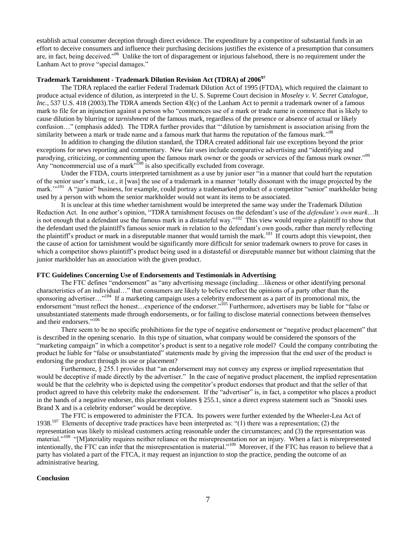establish actual consumer deception through direct evidence. The expenditure by a competitor of substantial funds in an effort to deceive consumers and influence their purchasing decisions justifies the existence of a presumption that consumers are, in fact, being deceived."<sup>96</sup> Unlike the tort of disparagement or injurious falsehood, there is no requirement under the Lanham Act to prove "special damages."

## **Trademark Tarnishment - Trademark Dilution Revision Act (TDRA) of 2006<sup>97</sup>**

The TDRA replaced the earlier Federal Trademark Dilution Act of 1995 (FTDA), which required the claimant to produce actual evidence of dilution, as interpreted in the U. S. Supreme Court decision in *Moseley v. V. Secret Catalogue, Inc.*, 537 U.S. 418 (2003). The TDRA amends Section 43(c) of the Lanham Act to permit a trademark owner of a famous mark to file for an injunction against a person who "commences use of a mark or trade name in commerce that is likely to cause dilution by blurring or *tarnishment* of the famous mark, regardless of the presence or absence of actual or likely confusion…" (emphasis added). The TDRA further provides that "dilution by tarnishment is association arising from the similarity between a mark or trade name and a famous mark that harms the reputation of the famous mark.<sup>198</sup>

In addition to changing the dilution standard, the TDRA created additional fair use exceptions beyond the prior exceptions for news reporting and commentary. New fair uses include comparative advertising and "identifying and parodying, criticizing, or commenting upon the famous mark owner or the goods or services of the famous mark owner."<sup>99</sup> Any "noncommercial use of a mark"<sup>100</sup> is also specifically excluded from coverage.

Under the FTDA, courts interpreted tarnishment as a use by junior user "in a manner that could hurt the reputation of the senior user's mark, i.e., it [was] the use of a trademark in a manner ‗totally dissonant with the image projected by the mark."<sup>101</sup> A "junior" business, for example, could portray a trademarked product of a competitor "senior" markholder being used by a person with whom the senior markholder would not want its items to be associated.

It is unclear at this time whether tarnishment would be interpreted the same way under the Trademark Dilution Reduction Act. In one author's opinion, "TDRA tarnishment focuses on the defendant's use of the *defendant's own mark*...It is not enough that a defendant use the famous mark in a distasteful way."<sup>102</sup> This view would require a plaintiff to show that the defendant used the plaintiff's famous senior mark in relation to the defendant's own goods, rather than merely reflecting the plaintiff's product or mark in a disreputable manner that would tarnish the mark.<sup>103</sup> If courts adopt this viewpoint, then the cause of action for tarnishment would be significantly more difficult for senior trademark owners to prove for cases in which a competitor shows plaintiff's product being used in a distasteful or disreputable manner but without claiming that the junior markholder has an association with the given product.

## **FTC Guidelines Concerning Use of Endorsements and Testimonials in Advertising**

The FTC defines "endorsement" as "any advertising message (including...likeness or other identifying personal characteristics of an individual..." that consumers are likely to believe reflect the opinions of a party other than the sponsoring advertiser..."<sup>104</sup> If a marketing campaign uses a celebrity endorsement as a part of its promotional mix, the endorsement "must reflect the honest...experience of the endorser."<sup>105</sup> Furthermore, advertisers may be liable for "false or unsubstantiated statements made through endorsements, or for failing to disclose material connections between themselves and their endorsers."<sup>106</sup>

There seem to be no specific prohibitions for the type of negative endorsement or "negative product placement" that is described in the opening scenario. In this type of situation, what company would be considered the sponsors of the "marketing campaign" in which a competitor's product is sent to a negative role model? Could the company contributing the product be liable for "false or unsubstantiated" statements made by giving the impression that the end user of the product is endorsing the product through its use or placement?

Furthermore, § 255.1 provides that "an endorsement may not convey any express or implied representation that would be deceptive if made directly by the advertiser." In the case of negative product placement, the implied representation would be that the celebrity who is depicted using the competitor's product endorses that product and that the seller of that product agreed to have this celebrity make the endorsement. If the "advertiser" is, in fact, a competitor who places a product in the hands of a negative endorser, this placement violates § 255.1, since a direct express statement such as "Snooki uses Brand X and is a celebrity endorser" would be deceptive.

The FTC is empowered to administer the FTCA. Its powers were further extended by the Wheeler-Lea Act of 1938.<sup>107</sup> Elements of deceptive trade practices have been interpreted as: "(1) there was a representation; (2) the representation was likely to mislead customers acting reasonable under the circumstances; and (3) the representation was material."<sup>108</sup> "[M]ateriality requires neither reliance on the misrepresentation nor an injury. When a fact is misrepresented intentionally, the FTC can infer that the misrepresentation is material."<sup>109</sup> Moreover, if the FTC has reason to believe that a party has violated a part of the FTCA, it may request an injunction to stop the practice, pending the outcome of an administrative hearing.

## **Conclusion**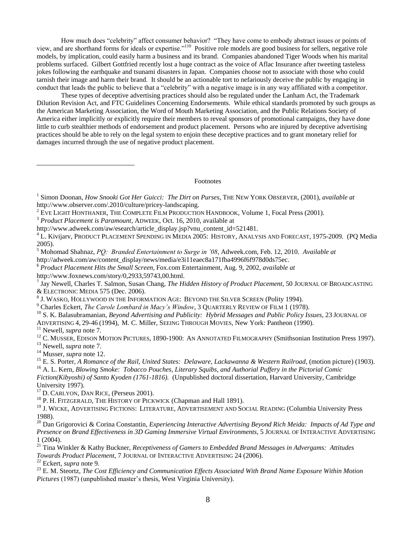How much does "celebrity" affect consumer behavior? "They have come to embody abstract issues or points of view, and are shorthand forms for ideals or expertise."<sup>110</sup> Positive role models are good business for sellers, negative role models, by implication, could easily harm a business and its brand. Companies abandoned Tiger Woods when his marital problems surfaced. Gilbert Gottfried recently lost a huge contract as the voice of Aflac Insurance after tweeting tasteless jokes following the earthquake and tsunami disasters in Japan. Companies choose not to associate with those who could tarnish their image and harm their brand. It should be an actionable tort to nefariously deceive the public by engaging in conduct that leads the public to believe that a "celebrity" with a negative image is in any way affiliated with a competitor.

These types of deceptive advertising practices should also be regulated under the Lanham Act, the Trademark Dilution Revision Act, and FTC Guidelines Concerning Endorsements. While ethical standards promoted by such groups as the American Marketing Association, the Word of Mouth Marketing Association, and the Public Relations Society of America either implicitly or explicitly require their members to reveal sponsors of promotional campaigns, they have done little to curb stealthier methods of endorsement and product placement. Persons who are injured by deceptive advertising practices should be able to rely on the legal system to enjoin these deceptive practices and to grant monetary relief for damages incurred through the use of negative product placement.

Footnotes

<sup>2</sup> EVE LIGHT HONTHANER, THE COMPLETE FILM PRODUCTION HANDBOOK, Volume 1, Focal Press (2001).

http://www.adweek.com/aw/esearch/article\_display.jsp?vnu\_content\_id=521481.

- <sup>5</sup> Mohomad Shahnaz, *PQ: Branded Entertainment to Surge in '08*, Adweek.com, Feb. 12, 2010. *Available at* http://adweek.com/aw/content\_display/news/media/e3i11eaec8a171fba4996f6f978d0ds75ec.
- 6 *Product Placement Hits the Small Screen,* Fox.com Entertainment*,* Aug. 9, 2002, *available at*  http://www.foxnews.com/story/0,2933,59743,00.html.
- 7 Jay Newell, Charles T. Salmon, Susan Chang, *The Hidden History of Product Placement*, 50 JOURNAL OF BROADCASTING & ELECTRONIC MEDIA 575 (Dec. 2006).
- $^8$  J. Wasko, Hollywood in the Information Age: Beyond the Silver Screen (Polity 1994).
- <sup>9</sup> Charles Eckert, *The Carole Lombard in Macy's Window*, 3 QUARTERLY REVIEW OF FILM 1 (1978).
- <sup>10</sup> S. K. Balasubramanian, *Beyond Advertising and Publicity: Hybrid Messages and Public Policy Issues*, 23 JOURNAL OF ADVERTISING 4, 29-46 (1994), M. C. Miller, SEEING THROUGH MOVIES, New York: Pantheon (1990).
- <sup>11</sup> Newell, *supra* note 7*.*

 $\overline{a}$ 

- <sup>12</sup> C. MUSSER, EDISON MOTION PICTURES, 1890-1900: AN ANNOTATED FILMOGRAPHY (Smithsonian Institution Press 1997).
- <sup>13</sup> Newell, *supra* note 7.
- <sup>14</sup> Musser, *supra* note 12.
- <sup>15</sup> E. S. Porter, *A Romance of the Rail, United States: Delaware, Lackawanna & Western Railroad, (motion picture) (1903).* <sup>16</sup> A. L. Kern, *Blowing Smoke: Tobacco Pouches, Literary Squibs, and Authorial Puffery in the Pictorial Comic*
- *Fiction(Kibyoshi) of Santo Kyoden (1761-1816).* (Unpublished doctoral dissertation, Harvard University, Cambridge University 1997).
- <sup>17</sup> D. CARLYON, DAN RICE, (Perseus 2001).
- <sup>18</sup> P. H. FITZGERALD, THE HISTORY OF PICKWICK (Chapman and Hall 1891).
- <sup>19</sup> J. WICKE, ADVERTISING FICTIONS: LITERATURE, ADVERTISEMENT AND SOCIAL READING (Columbia University Press 1988).
- <sup>20</sup> Dan Grigorovici & Corina Constantin, *Experiencing Interactive Advertising Beyond Rich Meida: Impacts of Ad Type and Presence on Brand Effectiveness in 3D Gaming Immersive Virtual Environments*, 5 JOURNAL OF INTERACTIVE ADVERTISING 1 (2004).
- <sup>21</sup> Tina Winkler & Kathy Buckner, *Receptiveness of Gamers to Embedded Brand Messages in Advergams: Attitudes Towards Product Placement*, 7 JOURNAL OF INTERACTIVE ADVERTISING 24 (2006).

<sup>22</sup> Eckert, *supra* note 9.

<sup>23</sup> E. M. Steortz, *The Cost Efficiency and Communication Effects Associated With Brand Name Exposure Within Motion Pictures* (1987) (unpublished master's thesis, West Virginia University).

<sup>1</sup> Simon Doonan, *How Snooki Got Her Guicci: The Dirt on Purses*, THE NEW YORK OBSERVER, (2001), *available at* http://www.observer.com/.2010/culture/pricey-landscaping.

<sup>3</sup> *Product Placement is Paramount*, ADWEEK, Oct. 16, 2010, available at

<sup>4</sup> L. Kivijarv, PRODUCT PLACEMENT SPENDING IN MEDIA 2005: HISTORY, ANALYSIS AND FORECAST, 1975-2009*.* (PQ Media 2005).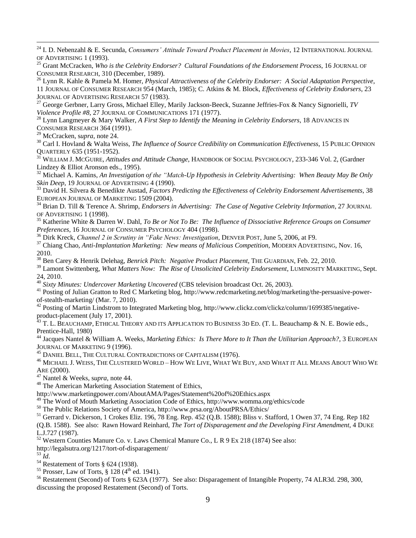<sup>24</sup> I. D. Nebenzahl & E. Secunda, *Consumers' Attitude Toward Product Placement in Movies*, 12 INTERNATIONAL JOURNAL OF ADVERTISING 1 (1993).

<sup>25</sup> Grant McCracken, *Who is the Celebrity Endorser? Cultural Foundations of the Endorsement Process*, 16 JOURNAL OF CONSUMER RESEARCH, 310 (December, 1989).

<sup>26</sup> Lynn R. Kahle & Pamela M. Homer, *Physical Attractiveness of the Celebrity Endorser: A Social Adaptation Perspective*, 11 JOURNAL OF CONSUMER RESEARCH 954 (March, 1985); C. Atkins & M. Block, *Effectiveness of Celebrity Endorsers*, 23 JOURNAL OF ADVERTISING RESEARCH 57 (1983).

<sup>27</sup> George Gerbner, Larry Gross, Michael Elley, Marily Jackson-Beeck, Suzanne Jeffries-Fox & Nancy Signorielli, *TV Violence Profile #8*, 27 JOURNAL OF COMMUNICATIONS 171 (1977).

<sup>28</sup> Lynn Langmeyer & Mary Walker, *A First Step to Identify the Meaning in Celebrity Endorsers*, 18 ADVANCES IN CONSUMER RESEARCH 364 (1991).

<sup>29</sup> McCracken, s*upra*, note 24.

 $\overline{a}$ 

<sup>30</sup> Carl I. Hovland & Walta Weiss, *The Influence of Source Credibility on Communication Effectiveness*, 15 PUBLIC OPINION QUARTERLY 635 (1951-1952).

<sup>31</sup> WILLIAM J. MCGUIRE, *Attitudes and Attitude Change*, HANDBOOK OF SOCIAL PSYCHOLOGY, 233-346 Vol. 2, (Gardner Lindzey & Elliot Aronson eds., 1995).

<sup>32</sup> Michael A. Kamins, *An Investigation of the "Match-Up Hypothesis in Celebrity Advertising: When Beauty May Be Only Skin Deep*, 19 JOURNAL OF ADVERTISING 4 (1990).

<sup>33</sup> David H. Silvera & Benedikte Austad, *Factors Predicting the Effectiveness of Celebrity Endorsement Advertisements*, 38 EUROPEAN JOURNAL OF MARKETING 1509 (2004).

<sup>34</sup> Brian D. Till & Terence A. Shrimp, *Endorsers in Advertising: The Case of Negative Celebrity Information*, 27 JOURNAL OF ADVERTISING 1 (1998).

<sup>35</sup> Katherine White & Darren W. Dahl, *To Be or Not To Be: The Influence of Dissociative Reference Groups on Consumer Preferences*, 16 JOURNAL OF CONSUMER PSYCHOLOGY 404 (1998).

<sup>36</sup> Dirk Kreck, *Channel 2 in Scrutiny in "Fake News: Investigation*, DENVER POST, June 5, 2006, at F9.

<sup>37</sup> Chiang Chao, *Anti-Implantation Marketing: New means of Malicious Competition*, MODERN ADVERTISING, Nov. 16, 2010.

<sup>38</sup> Ben Carey & Henrik Delehag, *Benrick Pitch: Negative Product Placement*, THE GUARDIAN, Feb. 22, 2010.

<sup>39</sup> Lamont Swittenberg, *What Matters Now: The Rise of Unsolicited Celebrity Endorsement*, LUMINOSITY MARKETING, Sept. 24, 2010.

<sup>40</sup> *Sixty Minutes: Undercover Marketing Uncovered* (CBS television broadcast Oct. 26, 2003).

<sup>41</sup> Posting of Julian Gratton to Red C Marketing blog, http://www.redcmarketing.net/blog/marketing/the-persuasive-powerof-stealth-marketing/ (Mar. 7, 2010).

<sup>42</sup> Posting of Martin Lindstrom to Integrated Marketing blog, http://www.clickz.com/clickz/column/1699385/negativeproduct-placement (July 17, 2001).

<sup>43</sup> T. L. BEAUCHAMP, ETHICAL THEORY AND ITS APPLICATION TO BUSINESS 3D ED. (T. L. Beauchamp & N. E. Bowie eds., Prentice-Hall, 1980)

<sup>44</sup> Jacques Nantel & William A. Weeks, *Marketing Ethics: Is There More to It Than the Utilitarian Approach?*, 3 EUROPEAN JOURNAL OF MARKETING 9 (1996).

<sup>45</sup> DANIEL BELL, THE CULTURAL CONTRADICTIONS OF CAPITALISM (1976).

<sup>46</sup> MICHAEL J. WEISS, THE CLUSTERED WORLD – HOW WE LIVE, WHAT WE BUY, AND WHAT IT ALL MEANS ABOUT WHO W<sup>E</sup> ARE (2000).

<sup>47</sup> Nantel & Weeks, s*upra*, note 44.

<sup>48</sup> The American Marketing Association Statement of Ethics,

http://www.marketingpower.com/AboutAMA/Pages/Statement%20of%20Ethics.aspx

<sup>49</sup> The Word of Mouth Marketing Association Code of Ethics, http://www.womma.org/ethics/code

<sup>50</sup> The Public Relations Society of America, http://www.prsa.org/AboutPRSA/Ethics/

<sup>51</sup> Gerrard v. Dickerson, 1 Crokes Eliz. 196, 78 Eng. Rep. 452 (Q.B. 1588); Bliss v. Stafford, 1 Owen 37, 74 Eng. Rep 182

(Q.B. 1588). See also: Rawn Howard Reinhard, *The Tort of Disparagement and the Developing First Amendment*, 4 DUKE L.J.727 (1987).

<sup>52</sup> Western Counties Manure Co. v. Laws Chemical Manure Co., L R 9 Ex 218 (1874) See also:

http://legalsutra.org/1217/tort-of-disparagement/

 $\overline{53}$   $\overline{Id}$ .

 $54$  Restatement of Torts § 624 (1938).

<sup>55</sup> Prosser, Law of Torts,  $\frac{8}{3}$  128 (4<sup>th</sup> ed. 1941).

<sup>56</sup> Restatement (Second) of Torts § 623A (1977). See also: Disparagement of Intangible Property, 74 ALR3d. 298, 300, discussing the proposed Restatement (Second) of Torts.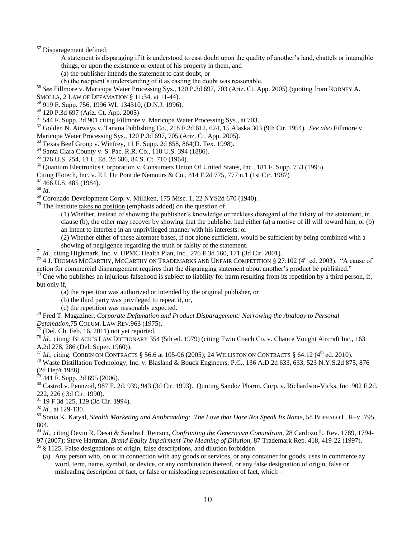<sup>57</sup> Disparagement defined:

- A statement is disparaging if it is understood to cast doubt upon the quality of another's land, chattels or intangible things, or upon the existence or extent of his property in them, and
- (a) the publisher intends the statement to cast doubt, or
- (b) the recipient's understanding of it as casting the doubt was reasonable.

<sup>58</sup> *See* Fillmore v. Maricopa Water Processing Sys., 120 P.3d 697, 703 (Ariz. Ct. App. 2005) (quoting from RODNEY A.

- SMOLLA, 2 LAW OF DEFAMATION § 11:34, at 11-44).
- <sup>59</sup> 919 F. Supp. 756, 1996 WL 134310, (D.N.J. 1996).
- <sup>60</sup> 120 P.3d 697 (Ariz. Ct. App. 2005)
- <sup>61</sup> 544 F. Supp. 2d 901 citing Fillmore v. Maricopa Water Processing Sys., at 703.

<sup>62</sup> Golden N. Airways v. Tanana Publishing Co., 218 F.2d 612, 624, 15 Alaska 303 (9th Cir. 1954). *See also* Fillmore v.

- Maricopa Water Processing Sys., 120 P.3d 697, 705 (Ariz. Ct. App. 2005).
- <sup>63</sup> Texas Beef Group v. Winfrey, 11 F. Supp. 2d 858, 864(D. Tex. 1998).
- <sup>64</sup> Santa Clara County v. S. Pac. R.R. Co., 118 U.S. 394 (1886).
- <sup>65</sup> 376 U.S. 254, 11 L. Ed. 2d 686, 84 S. Ct. 710 (1964).
- <sup>66</sup> Quantum Electronics Corporation v. Consumers Union Of United States, Inc., 181 F. Supp. 753 (1995).

Citing Flotech, Inc. v. E.I. Du Pont de Nemours & Co., 814 F.2d 775, 777 n.1 (1st Cir. 1987)

<sup>67</sup> 466 U.S. 485 (1984).

<sup>68</sup> *Id*.

 $\overline{a}$ 

<sup>69</sup> Coronado Development Corp. v. Milliken, 175 Misc. 1, 22 NYS2d 670 (1940).

 $70$  The Institute takes no position (emphasis added) on the question of:

(1) Whether, instead of showing the publisher's knowledge or reckless disregard of the falsity of the statement, in clause (b), the other may recover by showing that the publisher had either (a) a motive of ill will toward him, or (b) an intent to interfere in an unprivileged manner with his interests: or

(2) Whether either of these alternate bases, if not alone sufficient, would be sufficient by being combined with a showing of negligence regarding the truth or falsity of the statement.

<sup>71</sup> *Id*., citing Highmark, Inc. v. UPMC Health Plan, Inc., 276 F.3d 160, 171 (3d Cir. 2001).

 $^{72}$  4 J. THOMAS MCCARTHY, MCCARTHY ON TRADEMARKS AND UNFAIR COMPETITION § 27:102 (4<sup>th</sup> ed. 2003). "A cause of action for commercial disparagement requires that the disparaging statement about another's product be published."

 $^{73}$  One who publishes an injurious falsehood is subject to liability for harm resulting from its repetition by a third person, if, but only if,

(a) the repetition was authorized or intended by the original publisher, or

(b) the third party was privileged to repeat it, or,

(c) the repetition was reasonably expected.

<sup>74</sup> Fred T. Magaziner, *Corporate Defamation and Product Disparagement: Narrowing the Analogy to Personal Defamation*,75 COLUM. LAW REV.963 (1975).

 $<sup>75</sup>$  (Del. Ch. Feb. 16, 2011) not yet reported.</sup>

<sup>76</sup> *Id.*, citing: BLACK'S LAW DICTIONARY 354 (5th ed. 1979) (citing Twin Coach Co. v. Chance Vought Aircraft Inc., 163 A.2d 278, 286 (Del. Super. 1960)).

<sup>77</sup> *Id.*, citing: CORBIN ON CONTRACTS § 56.6 at 105-06 (2005); 24 WILLISTON ON CONTRACTS § 64:12 (4<sup>th</sup> ed. 2010).

<sup>78</sup> Waste Distillation Technology, Inc. v. Blasland & Bouck Engineers, P.C., 136 A.D.2d 633, 633, 523 N.Y.S.2d 875, 876 (2d Dep't 1988).

 $79$  441 F. Supp. 2d 695 (2006).

<sup>80</sup> Castrol v. Pennzoil, 987 F. 2d. 939, 943 (3d Cir. 1993). Quoting Sandoz Pharm. Corp. v. Richardson-Vicks, Inc. 902 F.2d. 222, 226 ( 3d Cir. 1990).

<sup>81</sup> 19 F.3d 125, 129 (3d Cir. 1994).

<sup>82</sup> *Id*., at 129-130.

<sup>83</sup> Sonia K. Katyal, *Stealth Marketing and Antibranding: The Love that Dare Not Speak Its Name*, 58 BUFFALO L. REV. 795, 804.

<sup>84</sup> *Id*., citing Devin R. Desai & Sandra L Reirson, *Confronting the Genericism Conundrum*, 28 Cardozo L. Rev. 1789, 1794-

97 (2007); Steve Hartman, *Brand Equity Impairment-The Meaning of Dilution*, 87 Trademark Rep. 418, 419-22 (1997).

 $85 \text{ }\frac{\text{8}}{\text{}}$  1125. False designations of origin, false descriptions, and dilution forbidden

(a) Any person who, on or in connection with any goods or services, or any container for goods, uses in commerce ay word, term, name, symbol, or device, or any combination thereof, or any false designation of origin, false or misleading description of fact, or false or misleading representation of fact, which –